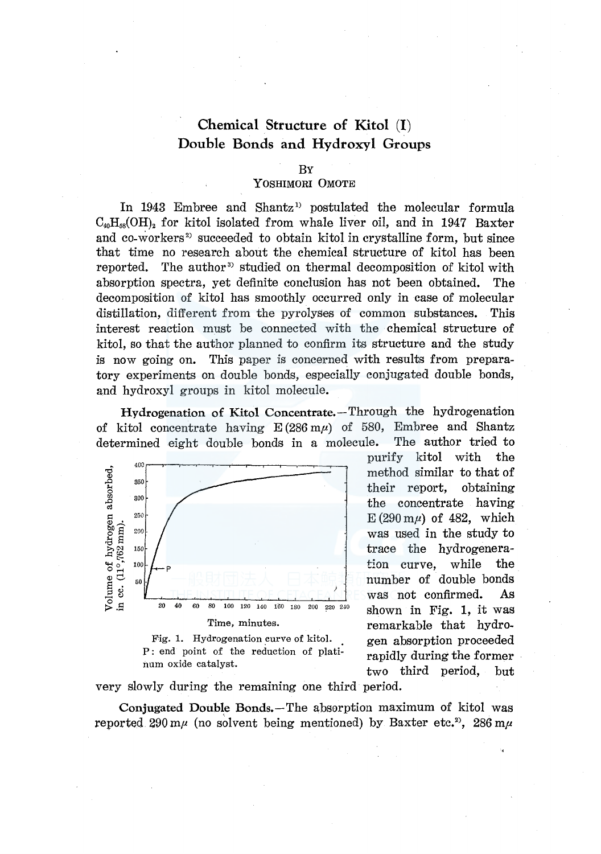# Chemical Structure of Kitol (I) Double Bonds and Hydroxyl Groups

#### BY

# YOSHIMORI 0MOTE

In 1943 Embree and Shantz<sup>1</sup> postulated the molecular formula  $C_{40}H_{58}$ (OH)<sub>2</sub> for kitol isolated from whale liver oil, and in 1947 Baxter and co-workers<sup>2</sup> succeeded to obtain kitol in crystalline form, but since that time no research about the chemical structure of kitol has been reported. The author<sup>3</sup> studied on thermal decomposition of kitol with absorption spectra, yet definite conclusion has not been obtained. The decomposition of kitol has smoothly occurred only in case of molecular distillation, different from the pyrolyses of common substances. This interest reaction must be connected with the chemical structure of kitol, so that the author planned to confirm its structure and the study is now going on. This paper is concerned with results from preparatory experiments on double bonds, especially conjugated double bonds, and hydroxyl groups in kitol molecule.

Hydrogenation of Kitol Concentrate.-Through the hydrogenation of kitol concentrate having  $E(286 \text{ m}\mu)$  of 580, Embree and Shantz determined eight double bonds in a molecule. The author tried to



Fig. 1. Hydrogenation curve of kitol. P : end point of the reduction of platinum oxide catalyst.

purify kitol with the method similar to that of their report, obtaining the concentrate having  $E(290 \text{ m}\mu)$  of 482, which was used in the study to trace the hydrogeneration curve, while the number of double bonds remarkable that hydrogen absorption proceeded rapidly during the former two third period, but

very slowly during the remaining one third period.

Conjugated Double Bonds.-The absorption maximum of kitol was reported 290 m $\mu$  (no solvent being mentioned) by Baxter etc.<sup>2</sup>, 286 m $\mu$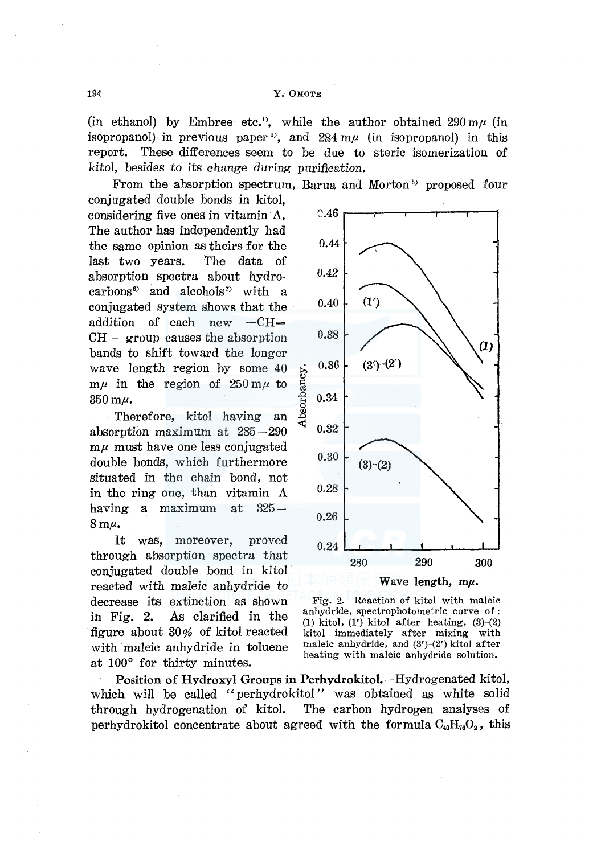(in ethanol) by Embree etc.<sup>1</sup>, while the author obtained  $290 \text{ m}\mu$  (in isopropanol) in previous paper<sup>3</sup>, and  $284 \text{ m}\mu$  (in isopropanol) in this report. These differences seem to be due to steric isomerization of *kitol,* besides to its change during purification.

From the absorption spectrum, Barua and Morton<sup>5</sup> proposed four

conjugated double bonds in kitol, considering five ones in vitamin A. The author has independently had the same opinion as theirs for the last two years. The data of absorption spectra about hydro $carbons<sup>6</sup>$  and alcohols<sup>7</sup> with a conjugated system shows that the addition of each new  $-CH=$  $CH-$  group causes the absorption bands to shift toward the longer wave length region by some 40  $m\mu$  in the region of  $250 m\mu$  to  $350 \text{ m}\mu$ .

Therefore, kitol having an absorption maximum at 285-290  $m\mu$  must have one less conjugated double bonds, which furthermore situated in the chain bond, not in the ring one, than vitamin *A*  having a maximum at  $325 8 \,\mathrm{m}\mu$ .

It was, moreover, proved through absorption spectra that conjugated double bond in kitol reacted with maleic anhydride to decrease its extinction as shown in Fig. 2. As clarified in the figure about 30% of kitol reacted with maleic anhydride in toluene at 100° for thirty minutes.



Fig. 2. Reaction of kitol with maleic anhydride, spectrophotometric curve of : (1) kitol,  $(1')$  kitol after heating,  $(3)-(2)$ kitol immediately after mixing with maleic anhydride, and  $(3')-(2')$  kitol after heating with maleic anhydride solution.

Position of Hydroxyl Groups in Perhydrokitol.-Hydrogenated kitol, which will be called "perhydrokitol" was obtained as white solid through hydrogenation of kitol. The carbon hydrogen analyses of perhydrokitol concentrate about agreed with the formula  $C_{40}H_{76}O_2$ , this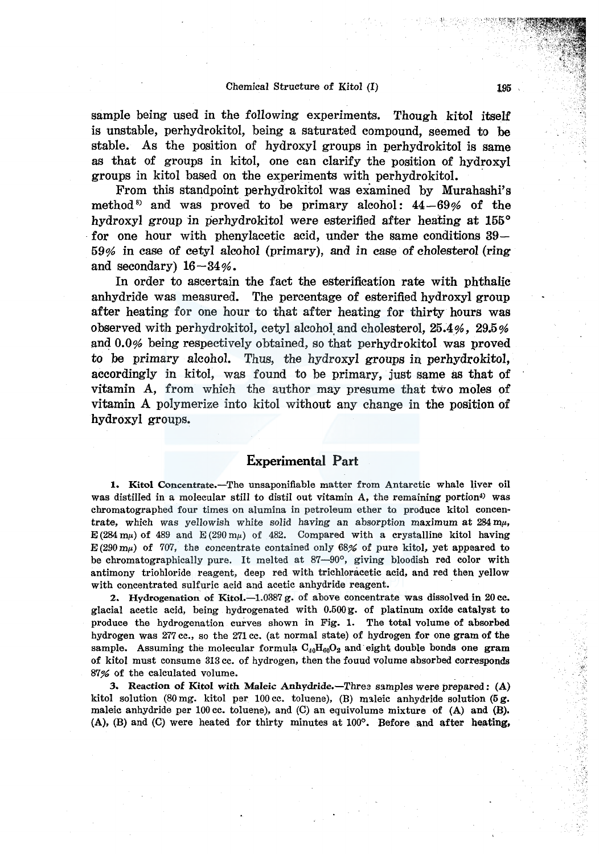### Chemical Structure of Kitol (I)

sample being used in the following experiments. Though kitol itself is unstable, perhydrokitol, being a saturated compound, seemed to be stable. As the position of hydroxyl groups in perhydrokitol is same as that of groups in kitol, one can clarify the position of hydroxyl groups in kitol based on the experiments with perhydrokitol. ·

From this standpoint perhydrokitol was examined by Murahashi's method<sup>8</sup> and was proved to be primary alcohol:  $44-69%$  of the hydroxyl group in perhydrokitol were esterified after heating at 155° for one hour with phenylacetic acid, under the same conditions  $39-$ 59% in case of cetyl alcohol (primary), and in case of cholesterol (ring and secondary)  $16 - 34\%$ .

In order to ascertain the fact the esterification rate with phthalic anhydride was measured. The percentage of esterified hydroxyl group after heating for one hour to that after heating for thirty hours was observed with perhydrokitol, cetyl alcohol and cholesterol, 25.4%, 29.5% and 0.0% being respectively obtained, so that perhydrokitol was proved to be primary alcohol. Thus, the hydroxyl groups in perhydrokitol, accordingly in kitol, was found to be primary, just same as that of vitamin A, from which the author may presume that two moles of vitamin A polymerize into kitol without any change in the position of hydroxyl groups.

# **Experimental Part**

**1.** Kitol Concentrate.-The unsaponifiable matter from Antarctic whale liver oil was distilled in a molecular still to distil out vitamin A, the remaining portion<sup>4)</sup> was chromatographed four times on alumina in petroleum ether to. produce kitol concentrate, which was yellowish white solid having an absorption maximum at  $284 \text{ m}\mu$ , E (284 mu) of 489 and E (290 mu) of 482. Compared with a crystalline kitol having  $E(290 \text{ m}\mu)$  of 707, the concentrate contained only 68% of pure kitol, yet appeared to be chromatographically pure. It melted at 87-90°, giving bloodish red color with antimony triohloride reagent, deep red with trichloracetic acid, and red then yellow with concentrated sulfuric acid and acetic anhydride reagent.

2. Hydrogenation of Kitol.-1.0387 g. of above concentrate was dissolved in 20 cc. glacial acetic acid, being hydrogenated with 0.500g. of platinutn oxide catalyst to produce the hydrogenation curves shown in Fig. 1. The total volume of absorbed hydrogen was 277 cc., so the 271 cc. (at normal state) of hydrogen for one gram of the sample. Assuming the molecular formula  $C_{40}H_{60}O_2$  and eight double bonds one gram of kitol must consume 313 cc. of hydrogen, then the fouud volume absorbed corresponds 87% of the calculated volume.

3. Reaction of Kitol with Maleic Anhydride.—Three samples were prepared:  $(A)$ kitol solution (80 mg. kitol per 100 cc. toluene), (B) maleic anhydride solution (5 g. maleic anhydride per 100 cc. toluene), and (C) an equivolume mixture of (A) and (B). (A), (B) and (C) were heated for thirty minutes at  $100^\circ$ . Before and after heating,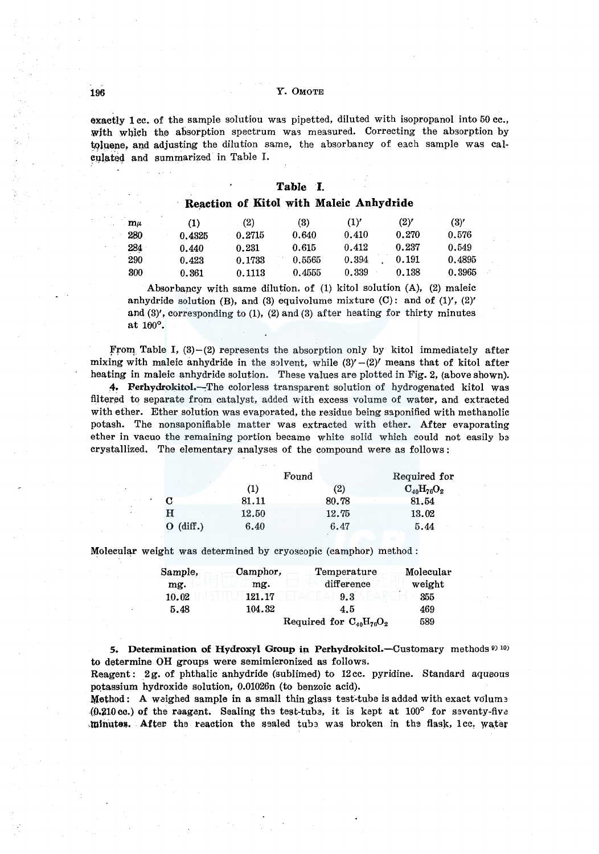196 Y. 0MOTE

exactly 1 cc. of the sample solutiou was pipetted, diluted with isopropanol into 50 cc., with which the absorption spectrum was measured. Correcting the absorption by toluene, and adjusting the dilution same, the absorbancy of each sample was calculated and summarized in Table I.

#### Reaction of Kitol with Maleic Anhydride

| $m\mu$ | (1)    | (2)    | (3)    | (1)   | (2)'  | (3)    |
|--------|--------|--------|--------|-------|-------|--------|
| 280    | 0.4325 | 0.2715 | 0.640  | 0.410 | 0.270 | 0.576  |
| 284    | 0.440  | 0.231  | 0.615  | 0.412 | 0.237 | 0.549  |
| 290    | 0.423  | 0.1733 | 0.5565 | 0.394 | 0.191 | 0.4895 |
| 300    | 0.361  | 0.1113 | 0.4555 | 0.339 | 0.138 | 0.3965 |

Absorbancy with same dilution. of (1) kitol solution (A), (2) maleic anhydride solution (B), and (3) equivolume mixture  $(C)$ : and of  $(1)'$ ,  $(2)'$ and (3)', corresponding to (1), (2) and (3) after heating for thirty minutes at 100°.

From Table I,  $(3)-(2)$  represents the absorption only by kitol immediately after mixing with maleic anhydride in the solvent, while  $(3)'-(2)'$  means that of kitol after heating in maleic anhydride solution. These values are plotted in Fig. 2, (above shown).

4. Perhydrokitol.-The colorless transparent solution of hydrogenated kitol was filtered to separate from catalyst, added with excess volume of water, and extracted with ether. Ether solution was evaporated, the residue being saponified with methanolic potash. The nonsaponifiable matter was extracted with ether. After evaporating ether in vacuo the remaining portion became white solid which could not easily ba crystallized. The elementary analyses of the compound were as follows :

|             |       | Found | Required for      |
|-------------|-------|-------|-------------------|
|             | (1)   | (2)   | $O_{40}H_{76}O_2$ |
| С           | 81.11 | 80.78 | 81.54             |
| н           | 12.50 | 12.75 | 13.02             |
| $O$ (diff.) | 6.40  | 6.47  | 5.44              |

Molecular weight was determined by cryoscopic (camphor) method:

| Sample, | Camphor, | Temperature                    | Molecular |
|---------|----------|--------------------------------|-----------|
| mg.     | mg.      | difference                     | weight    |
| 10.02   | 121.17   | 9.3                            | 355       |
| 5.48    | 104.32   | 4.5                            | 469       |
|         |          | Required for $C_{40}H_{76}O_2$ | 589       |

5. Determination of Hydroxyl Group in Perhydrokitol.—Customary methods  $910$ to determine OH groups were semimicronized as follows.

Reagent: 2g. of phthalic anhydride (sublimed) to 12cc. pyridine. Standard aqueous potassium hydroxide solution, 0.01026n (to benzoic acid).

Method: A weighed sample in a small thin glass test-tube is added with exact volums  $(0.210 \text{ cc.})$  of the raagent. Sealing the test-tubs, it is kept at  $100^{\circ}$  for seventy-five .minutes. After the reaction the sealed tube was broken in the flask, lee, water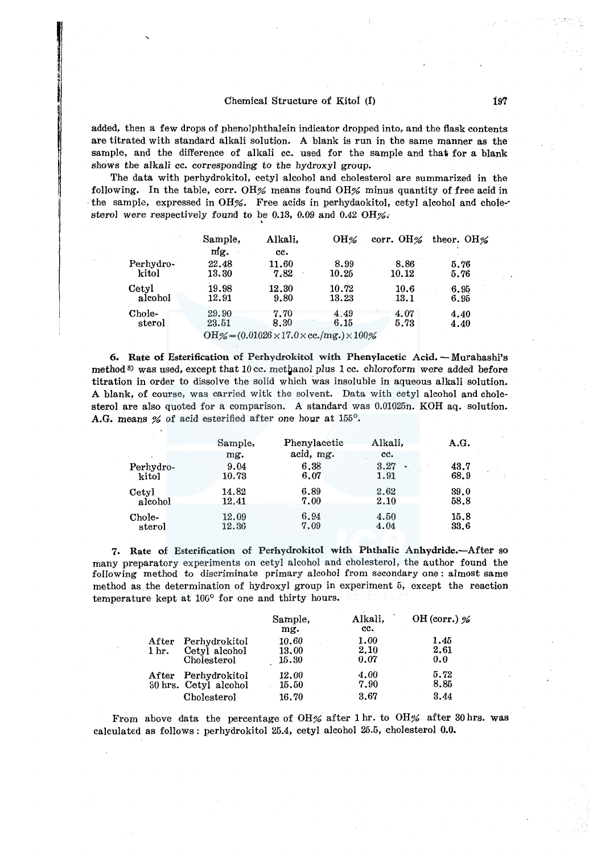### Chemical Structure of Kitol (I) 197

re of the control and control and control<br>and control and control and control and control and control and control and control and control and control and control and control and control and control and control and control

added, then a few drops of phenolphthalein indicator dropped into, and the flask contents are titrated with standard alkali solution. A blank is run in the same manner as the sample, and the difference of alkali cc. used for the sample and that for a blank shows the alkali cc. corresponding to the hydroxyl group.

The data with perhydrokitol, cetyl alcohol and cholesterol are summarized in the following. In the table, corr. OH% means found OH% minus quantity of free acid in the sample, expressed in OH%. Free acids in perhydaokitol, cetyl alcohol and chole-sterol were respectively found to be 0.13, 0.09 and 0.42 OH%.

|           | Sample, | Alkali,                                                    | OH%   | corr. OH $\%$ | theor. $OH\%$ |
|-----------|---------|------------------------------------------------------------|-------|---------------|---------------|
|           | mg.     | cc.                                                        |       |               |               |
| Perhydro- | 22.48   | 11.60                                                      | 8.99  | 8.86          | 5.76          |
| kitol     | 13.30   | 7.82                                                       | 10.25 | 10.12         | 5.76          |
| Cetyl     | 19.98   | 12.30                                                      | 10.72 | 10.6          | 6.95          |
| alcohol   | 12.91   | 9.80                                                       | 13.23 | 13.1          | 6.95          |
| Chole-    | 29.90   | 7.70                                                       | 4.49  | 4.07          | 4.40          |
| sterol    | 23.51   | 8.30                                                       | 6.15  | 5.73          | 4.40          |
|           |         | OH%= $(0.01026 \times 17.0 \times$ cc./mg.) $\times 100\%$ |       |               |               |

6. Rate of Esterification of Perhydrokitol with Phenylacetic Acid. - Murahashi's method<sup>8)</sup> was used, except that 10 cc. methanol plus 1 cc. chloroform were added before titration in order to dissolve the solid which was insoluble in aqueous alkali solution. A blank, of course, was carried witk the solvent. Data with cetyl alcohol and cholesterol are also quoted for a comparison. A standard was 0.01025n. KOH aq. solution. A.G. means % of acid esterified after one hoyr at 155°.

|                    | Sample,        | Phenylacetic | Alkali,                   | A.G.         |
|--------------------|----------------|--------------|---------------------------|--------------|
|                    | mg.            | acid, mg.    | cc.                       |              |
| Perhydro-<br>kitol | 9.04<br>10.73  | 6.38<br>6.07 | 3.27<br>$\bullet$<br>1.91 | 43.7<br>68.9 |
| Cetyl<br>alcohol   | 14.82<br>12.41 | 6.89<br>7.00 | 2.62<br>2.10              | 39.0<br>58.8 |
| Chole-<br>sterol   | 12.09<br>12.36 | 6.94<br>7.09 | 4.50<br>4.04              | 15.8<br>33.6 |

7. Rate of Esterification of Perhydrokitol with Phthalic Anhydride.-After so many preparatory experiments on cetyl alcohol and cholesterol, the author found the following method to discriminate primary alcohol from secondary one : almost same method as the determination of hydroxyl group in experiment 5, except the reaction temperature kept at  $100^{\circ}$  for one and thirty hours.

|       |                       | Sample,<br>mg. | Alkali,<br>cc. | OH (corr.) $%$ |
|-------|-----------------------|----------------|----------------|----------------|
| After | Perhydrokitol         | 10.60          | 1.00           | 1.45           |
| 1 hr. | Cetyl alcohol         | 13.00          | 2.10           | 2.61           |
|       | Cholesterol           | 15.30          | 0.07           | 0.0            |
| After | Perhydrokitol         | 12.00          | 4.00           | 5.72           |
|       | 30 hrs. Cetyl alcohol | 15.50          | 7.90           | 8.85           |
|       | Cholesterol           | 16.70          | 3.67           | 3.44           |

From above data the percentage of OH% after 1 hr. to OH% after 30 hrs. was calculated as follows: perhydrokitol 25.4, cetyl alcohol 25.5, cholesterol 0.0.